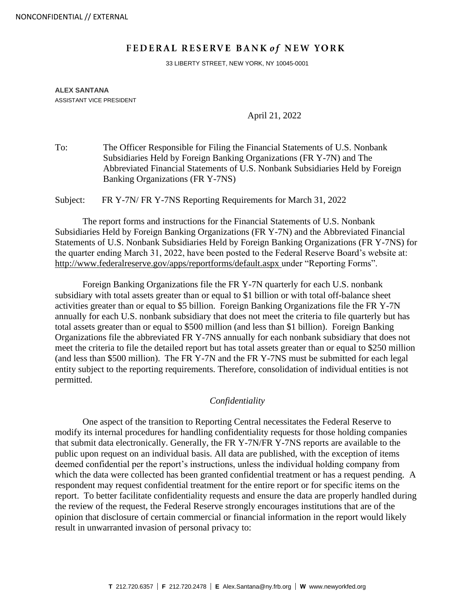## **FEDERAL RESERVE BANK of NEW YORK**

33 LIBERTY STREET, NEW YORK, NY 10045-0001

## **ALEX SANTANA** ASSISTANT VICE PRESIDENT

April 21, 2022

To: The Officer Responsible for Filing the Financial Statements of U.S. Nonbank Subsidiaries Held by Foreign Banking Organizations (FR Y-7N) and The Abbreviated Financial Statements of U.S. Nonbank Subsidiaries Held by Foreign Banking Organizations (FR Y-7NS)

Subject: FR Y-7N/ FR Y-7NS Reporting Requirements for March 31, 2022

The report forms and instructions for the Financial Statements of U.S. Nonbank Subsidiaries Held by Foreign Banking Organizations (FR Y-7N) and the Abbreviated Financial Statements of U.S. Nonbank Subsidiaries Held by Foreign Banking Organizations (FR Y-7NS) for the quarter ending March 31, 2022, have been posted to the Federal Reserve Board's website at: <http://www.federalreserve.gov/apps/reportforms/default.aspx> under "Reporting Forms".

Foreign Banking Organizations file the FR Y-7N quarterly for each U.S. nonbank subsidiary with total assets greater than or equal to \$1 billion or with total off-balance sheet activities greater than or equal to \$5 billion. Foreign Banking Organizations file the FR Y-7N annually for each U.S. nonbank subsidiary that does not meet the criteria to file quarterly but has total assets greater than or equal to \$500 million (and less than \$1 billion). Foreign Banking Organizations file the abbreviated FR Y-7NS annually for each nonbank subsidiary that does not meet the criteria to file the detailed report but has total assets greater than or equal to \$250 million (and less than \$500 million). The FR Y-7N and the FR Y-7NS must be submitted for each legal entity subject to the reporting requirements. Therefore, consolidation of individual entities is not permitted.

## *Confidentiality*

One aspect of the transition to Reporting Central necessitates the Federal Reserve to modify its internal procedures for handling confidentiality requests for those holding companies that submit data electronically. Generally, the FR Y-7N/FR Y-7NS reports are available to the public upon request on an individual basis. All data are published, with the exception of items deemed confidential per the report's instructions, unless the individual holding company from which the data were collected has been granted confidential treatment or has a request pending. A respondent may request confidential treatment for the entire report or for specific items on the report. To better facilitate confidentiality requests and ensure the data are properly handled during the review of the request, the Federal Reserve strongly encourages institutions that are of the opinion that disclosure of certain commercial or financial information in the report would likely result in unwarranted invasion of personal privacy to: